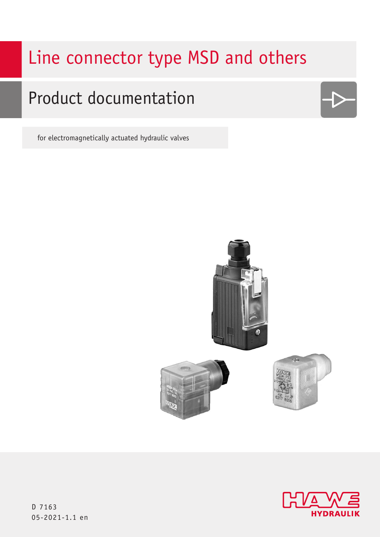# Line connector type MSD and others

# Product documentation

for electromagnetically actuated hydraulic valves





D 7163 05-2021-1.1 en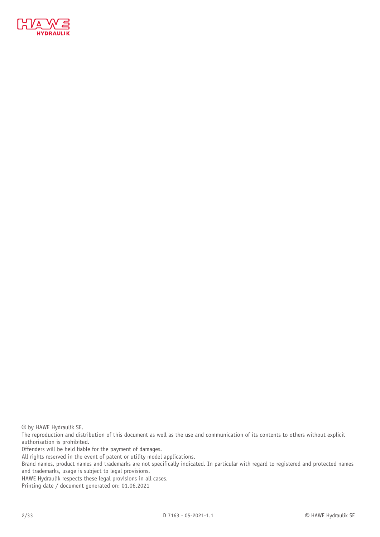

© by HAWE Hydraulik SE.

The reproduction and distribution of this document as well as the use and communication of its contents to others without explicit authorisation is prohibited.

Offenders will be held liable for the payment of damages.

All rights reserved in the event of patent or utility model applications.

Brand names, product names and trademarks are not specifically indicated. In particular with regard to registered and protected names and trademarks, usage is subject to legal provisions.

HAWE Hydraulik respects these legal provisions in all cases.

Printing date / document generated on: 01.06.2021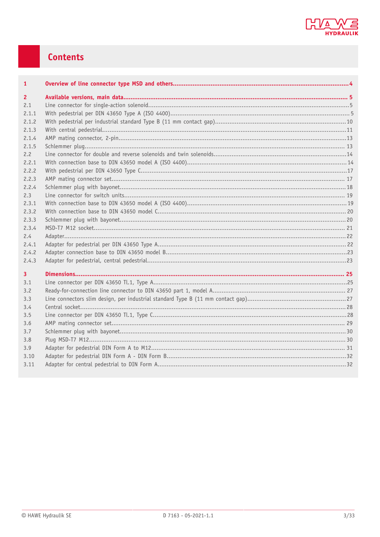

## Contents

| $\mathbf{1}$            |  |
|-------------------------|--|
| $\overline{2}$          |  |
| 2.1                     |  |
| 2.1.1                   |  |
| 2.1.2                   |  |
| 2.1.3                   |  |
| 2.1.4                   |  |
| 2.1.5                   |  |
| 2.2                     |  |
| 2.2.1                   |  |
| 2.2.2                   |  |
| 2.2.3                   |  |
| 2.2.4                   |  |
| 2.3                     |  |
| 2.3.1                   |  |
| 2.3.2                   |  |
| 2.3.3                   |  |
| 2.3.4                   |  |
| 2.4                     |  |
| 2.4.1                   |  |
| 2.4.2                   |  |
| 2.4.3                   |  |
| $\overline{\mathbf{3}}$ |  |
| 3.1                     |  |
| 3.2                     |  |
| 3.3                     |  |
| 3.4                     |  |
| 3.5                     |  |
| 3.6                     |  |
| 3.7                     |  |
| 3.8                     |  |
| 3.9                     |  |
| 3.10                    |  |
| 3.11                    |  |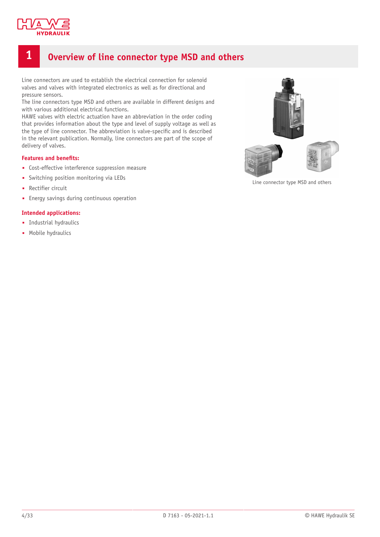

### <span id="page-3-0"></span>**1 Overview of line connector type MSD and others**

Line connectors are used to establish the electrical connection for solenoid valves and valves with integrated electronics as well as for directional and pressure sensors.

The line connectors type MSD and others are available in different designs and with various additional electrical functions.

HAWE valves with electric actuation have an abbreviation in the order coding that provides information about the type and level of supply voltage as well as the type of line connector. The abbreviation is valve-specific and is described in the relevant publication. Normally, line connectors are part of the scope of delivery of valves.

#### **Features** and **benefits:**

- Cost-effective interference suppression measure
- Switching position monitoring via LEDs
- Rectifier circuit
- Energy savings during continuous operation

#### **Intended applications:**

- Industrial hydraulics
- Mobile hydraulics



Line connector type MSD and others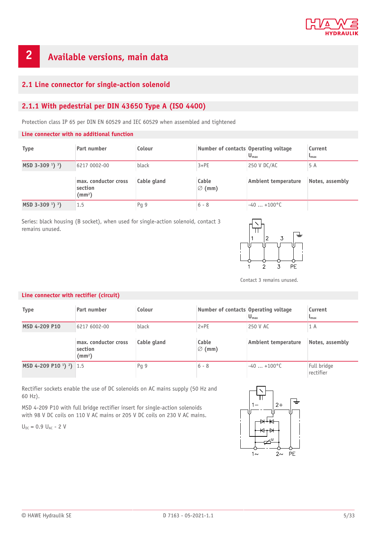

# <span id="page-4-0"></span>**2 Available versions, main data**

#### <span id="page-4-1"></span>**2.1 Line connector for single-action solenoid**

### <span id="page-4-2"></span>**2.1.1 With pedestrial per DIN 43650 Type A (ISO 4400)**

Protection class IP 65 per DIN EN 60529 and IEC 60529 when assembled and tightened

#### **Line connector with no additional function**

| <b>Type</b>                               | Part number                                           | Colour      | Number of contacts Operating voltage | $U_{\text{max}}$    | Current<br>$\mathbf{L}_{\text{max}}$ |
|-------------------------------------------|-------------------------------------------------------|-------------|--------------------------------------|---------------------|--------------------------------------|
| $MSD$ 3-309 <sup>1</sup> ) <sup>3</sup> ) | 6217 0002-00                                          | black       | $3+PE$                               | 250 V DC/AC         | 5 A                                  |
|                                           | max. conductor cross<br>section<br>(mm <sup>2</sup> ) | Cable gland | Cable<br>$\varnothing$ (mm)          | Ambient temperature | Notes, assembly                      |
| $MSD$ 3-309 <sup>1</sup> ) <sup>3</sup> ) | 1.5                                                   | Pq9         | $6 - 8$                              | $-40+100^{\circ}$ C |                                      |

Series: black housing (B socket), when used for single-action solenoid, contact 3 remains unused.



Contact 3 remains unused.

#### **Line connector with rectifier (circuit)**

| <b>Type</b>                                                | Part number                                           | Colour      | Number of contacts Operating voltage | $U_{\text{max}}$           | Current<br>$L_{\rm max}$ |
|------------------------------------------------------------|-------------------------------------------------------|-------------|--------------------------------------|----------------------------|--------------------------|
| MSD 4-209 P10                                              | 6217 6002-00                                          | black       | $2+PE$                               | 250 V AC                   | 1 A                      |
|                                                            | max. conductor cross<br>section<br>(mm <sup>2</sup> ) | Cable gland | Cable<br>$\varnothing$ (mm)          | <b>Ambient temperature</b> | Notes, assembly          |
| MSD 4-209 P10 <sup>1</sup> ) <sup>2</sup> ) <sup>1.5</sup> |                                                       | Pg 9        | $6 - 8$                              | $-40+100^{\circ}$ C        | Full bridge<br>rectifier |

Rectifier sockets enable the use of DC solenoids on AC mains supply (50 Hz and 60 Hz).

MSD 4-209 P10 with full bridge rectifier insert for single-action solenoids with 98 V DC coils on 110 V AC mains or 205 V DC coils on 230 V AC mains.

 $U_{DC} = 0.9 U_{AC} - 2 V$ 

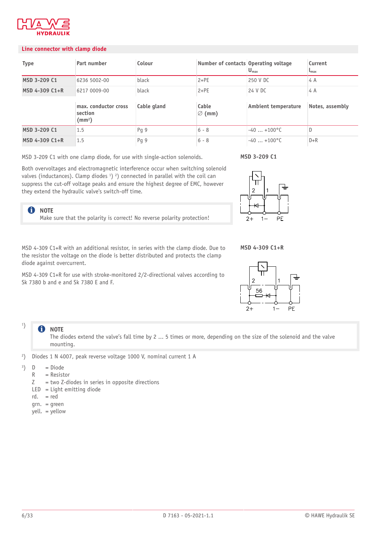

#### **Line connector with clamp diode**

| <b>Type</b>    | Part number                                           | Colour      | Number of contacts Operating voltage | $U_{\text{max}}$    | Current<br>$L_{\text{max}}$ |
|----------------|-------------------------------------------------------|-------------|--------------------------------------|---------------------|-----------------------------|
| MSD 3-209 C1   | 6236 5002-00                                          | black       | $2+PE$                               | 250 V DC            | 4 A                         |
| MSD 4-309 C1+R | 6217 0009-00                                          | black       | $2+PE$                               | 24 V DC             | 4 A                         |
|                | max. conductor cross<br>section<br>(mm <sup>2</sup> ) | Cable gland | Cable<br>$\varnothing$ (mm)          | Ambient temperature | Notes, assembly             |
| MSD 3-209 C1   | 1.5                                                   | Pq 9        | $6 - 8$                              | $-40+100^{\circ}$ C | D                           |
| MSD 4-309 C1+R | 1.5                                                   | Pg 9        | $6 - 8$                              | $-40+100^{\circ}$ C | $D + R$                     |

MSD 3-209 C1 with one clamp diode, for use with single-action solenoids.

Both overvoltages and electromagnetic interference occur when switching solenoid valves (inductances). Clamp diodes <sup>1</sup>) <sup>2</sup>) connected in parallel with the coil can suppress the cut-off voltage peaks and ensure the highest degree of EMC, however they extend the hydraulic valve's switch-off time.

Make sure that the polarity is correct! No reverse polarity protection!

# **MSD 3-209 C1**



**MSD 4-309 C1+R**

MSD 4-309 C1+R with an additional resistor, in series with the clamp diode. Due to the resistor the voltage on the diode is better distributed and protects the clamp diode against overcurrent.

MSD 4-309 C1+R for use with stroke-monitored 2/2-directional valves according to Sk 7380 b and e and Sk 7380 E and F.



#### **NOTE** A

1 )

**f** NOTE

The diodes extend the valve's fall time by 2 ... 5 times or more, depending on the size of the solenoid and the valve mounting.

- 2 ) Diodes 1 N 4007, peak reverse voltage 1000 V, nominal current 1 A
- 3  $\overline{D}$ = Diode
	- R  $=$  Resistor
	- Z = two Z-diodes in series in opposite directions
	- LED = Light emitting diode
	- rd. = red
	- grn. = green
	- yell. = yellow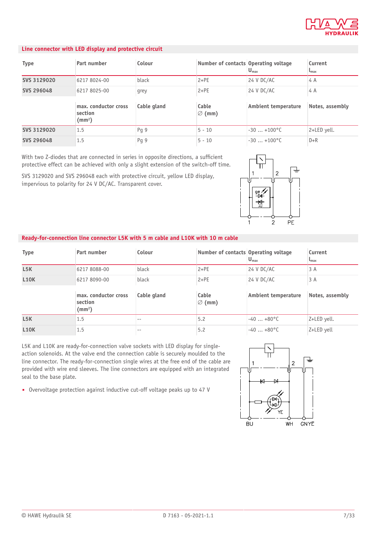

#### **Line connector with LED display and protective circuit**

| <b>Type</b>       | Part number                                           | Colour      | Number of contacts Operating voltage | $U_{\text{max}}$       | Current<br>$\mathbf{L}_{\text{max}}$ |
|-------------------|-------------------------------------------------------|-------------|--------------------------------------|------------------------|--------------------------------------|
| SVS 3129020       | 6217 8024-00                                          | black       | $2+PE$                               | 24 V DC/AC             | 4 A                                  |
| <b>SVS 296048</b> | 6217 8025-00                                          | grey        | $2+PE$                               | 24 V DC/AC             | 4 A                                  |
|                   | max. conductor cross<br>section<br>(mm <sup>2</sup> ) | Cable gland | Cable<br>$\varnothing$ (mm)          | Ambient temperature    | Notes, assembly                      |
| SVS 3129020       | 1.5                                                   | Pq 9        | $5 - 10$                             | $-30$ $+100^{\circ}$ C | 2+LED yell.                          |
| SVS 296048        | 1.5                                                   | Pq 9        | $5 - 10$                             | $-30$ $+100^{\circ}$ C | $D + R$                              |

With two Z-diodes that are connected in series in opposite directions, a sufficient protective effect can be achieved with only a slight extension of the switch-off time.

SVS 3129020 and SVS 296048 each with protective circuit, yellow LED display, impervious to polarity for 24 V DC/AC. Transparent cover.



#### **Ready-for-connection line connector L5K with 5 m cable and L10K with 10 m cable**

| <b>Type</b>      | Part number                                           | Colour      | Number of contacts Operating voltage | $U_{\text{max}}$      | Current<br>$\mathsf{L}_{\text{max}}$ |
|------------------|-------------------------------------------------------|-------------|--------------------------------------|-----------------------|--------------------------------------|
| L5K              | 6217 8088-00                                          | black       | $2+PE$                               | 24 V DC/AC            | 3A                                   |
| <b>L10K</b>      | 6217 8090-00                                          | black       | $2+PE$                               | 24 V DC/AC            | 3 A                                  |
|                  | max. conductor cross<br>section<br>(mm <sup>2</sup> ) | Cable gland | Cable<br>$\varnothing$ (mm)          | Ambient temperature   | Notes, assembly                      |
| L <sub>5</sub> K | 1.5                                                   | $- -$       | 5.2                                  | $-40+80$ °C           | Z+LED yell.                          |
| <b>L10K</b>      | 1.5                                                   | $- -$       | 5.2                                  | $-40$ $+80^{\circ}$ C | Z+LED yell                           |

L5K and L10K are ready-for-connection valve sockets with LED display for singleaction solenoids. At the valve end the connection cable is securely moulded to the line connector. The ready-for-connection single wires at the free end of the cable are provided with wire end sleeves. The line connectors are equipped with an integrated seal to the base plate.

■ Overvoltage protection against inductive cut-off voltage peaks up to 47 V

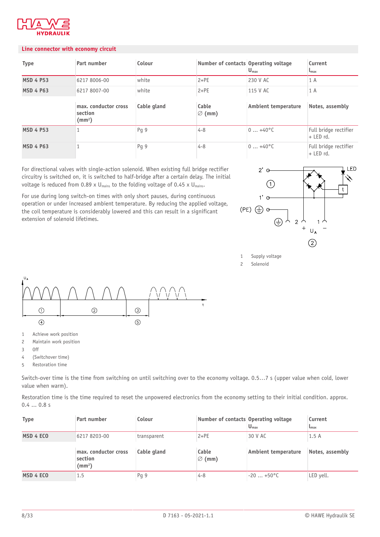

#### **Line connector with economy circuit**

| <b>Type</b>      | Part number                                           | Colour      | Number of contacts Operating voltage | $U_{\text{max}}$           | Current<br>$L_{\text{max}}$          |
|------------------|-------------------------------------------------------|-------------|--------------------------------------|----------------------------|--------------------------------------|
| <b>MSD 4 P53</b> | 6217 8006-00                                          | white       | $2+PE$                               | 230 V AC                   | 1 A                                  |
| <b>MSD 4 P63</b> | 6217 8007-00                                          | white       | $2+PE$                               | 115 V AC                   | 1 A                                  |
|                  | max. conductor cross<br>section<br>(mm <sup>2</sup> ) | Cable gland | Cable<br>$\varnothing$ (mm)          | <b>Ambient temperature</b> | Notes, assembly                      |
| <b>MSD 4 P53</b> |                                                       | Pq 9        | $4 - 8$                              | $0+40$ °C                  | Full bridge rectifier<br>$+$ LED rd. |
| <b>MSD 4 P63</b> |                                                       | Pg 9        | $4 - 8$                              | $0+40^{\circ}$ C           | Full bridge rectifier<br>$+$ LED rd. |

For directional valves with single-action solenoid. When existing full bridge rectifier circuitry is switched on, it is switched to half-bridge after a certain delay. The initial voltage is reduced from 0.89 x  $U_{\text{mains}}$  to the folding voltage of 0.45 x  $U_{\text{mains}}$ .

For use during long switch-on times with only short pauses, during continuous operation or under increased ambient temperature. By reducing the applied voltage, the coil temperature is considerably lowered and this can result in a significant extension of solenoid lifetimes.



1 Supply voltage

<sup>2</sup> Solenoid



- 1 Achieve work position
- 2 Maintain work position
- 3 Off
- 4 (Switchover time)
- 5 Restoration time

Switch-over time is the time from switching on until switching over to the economy voltage. 0.5…7 s (upper value when cold, lower value when warm).

Restoration time is the time required to reset the unpowered electronics from the economy setting to their initial condition. approx. 0.4 ... 0.8 s

| <b>Type</b> | Part number                                     | Colour      | Number of contacts Operating voltage | $U_{\text{max}}$           | Current<br>$L_{\rm max}$ |
|-------------|-------------------------------------------------|-------------|--------------------------------------|----------------------------|--------------------------|
| MSD 4 ECO   | 6217 8203-00                                    | transparent | $2+PE$                               | 30 V AC                    | 1.5A                     |
|             | max. conductor cross<br>section<br>$\text{m}^2$ | Cable gland | Cable<br>$\varnothing$ (mm)          | <b>Ambient temperature</b> | Notes, assembly          |
| MSD 4 ECO   | 1.5                                             | Pg 9        | $4 - 8$                              | $-20+50$ °C                | LED yell.                |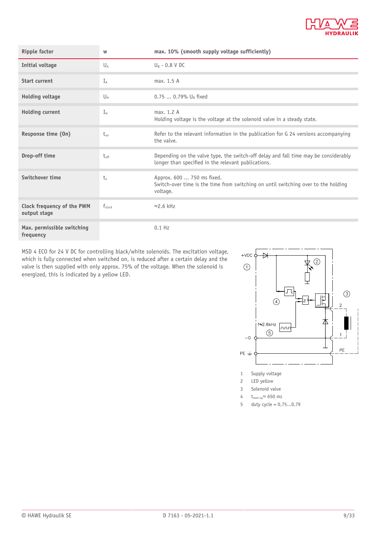

| <b>Ripple factor</b>                       | W            | max. 10% (smooth supply voltage sufficiently)                                                                                              |
|--------------------------------------------|--------------|--------------------------------------------------------------------------------------------------------------------------------------------|
| <b>Initial voltage</b>                     | $U_A$        | $U_{B}$ - 0.8 V DC                                                                                                                         |
| <b>Start current</b>                       | $I_A$        | max. 1.5 A                                                                                                                                 |
| <b>Holding voltage</b>                     | Uн           | 0.75  0.79% U <sub>B</sub> fixed                                                                                                           |
| <b>Holding current</b>                     | $I_{\rm H}$  | max. 1.2 A<br>Holding voltage is the voltage at the solenoid valve in a steady state.                                                      |
| Response time (On)                         | $t_{\rm on}$ | Refer to the relevant information in the publication for G 24 versions accompanying<br>the valve.                                          |
| Drop-off time                              | $t_{off}$    | Depending on the valve type, the switch-off delay and fall time may be considerably<br>longer than specified in the relevant publications. |
| Switchover time                            | $t_{\rm n}$  | Approx. 600  750 ms fixed.<br>Switch-over time is the time from switching on until switching over to the holding<br>voltage.               |
| Clock frequency of the PWM<br>output stage | $f_{clock}$  | $\approx$ 2.6 kHz                                                                                                                          |
| Max. permissible switching<br>frequency    |              | $0.1$ Hz                                                                                                                                   |

MSD 4 ECO for 24 V DC for controlling black/white solenoids. The excitation voltage, which is fully connected when switched on, is reduced after a certain delay and the valve is then supplied with only approx. 75% of the voltage. When the solenoid is energized, this is indicated by a yellow LED.



- 
- 2 LED yellow
- 3 Solenoid valve
- 4  $t_{start-up} \approx 650$  ms
- 5 duty cycle = 0,75...0,79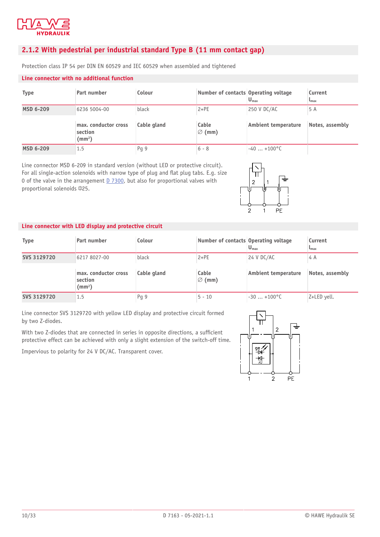

#### <span id="page-9-0"></span>**2.1.2 With pedestrial per industrial standard Type B (11 mm contact gap)**

Protection class IP 54 per DIN EN 60529 and IEC 60529 when assembled and tightened

#### **Line connector with no additional function**

| <b>Type</b>      | Part number                                           | Colour      | Number of contacts Operating voltage | $U_{\text{max}}$           | Current<br>$L_{\rm max}$ |
|------------------|-------------------------------------------------------|-------------|--------------------------------------|----------------------------|--------------------------|
| <b>MSD 6-209</b> | 6236 5004-00                                          | black       | $2+PE$                               | 250 V DC/AC                | 5 A                      |
|                  | max. conductor cross<br>section<br>(mm <sup>2</sup> ) | Cable gland | Cable<br>$\varnothing$ (mm)          | <b>Ambient temperature</b> | Notes, assembly          |
| <b>MSD 6-209</b> | 1.5                                                   | Pq9         | $6 - 8$                              | $-40+100^{\circ}$ C        |                          |

Line connector MSD 6-209 in standard version (without LED or protective circuit). For all single-action solenoids with narrow type of plug and flat plug tabs. E.g. size 0 of the valve in the arrangement [D 7300,](http://downloads.hawe.com/7/3/D7300-en.pdf) but also for proportional valves with proportional solenoids  $\Phi$ 25.



#### **Line connector with LED display and protective circuit**

| <b>Type</b> | Part number                                     | Colour      | Number of contacts Operating voltage | $U_{\text{max}}$    | Current<br>$L_{\text{max}}$ |
|-------------|-------------------------------------------------|-------------|--------------------------------------|---------------------|-----------------------------|
| SVS 3129720 | 6217 8027-00                                    | black       | $2+PE$                               | 24 V DC/AC          | 4 A                         |
|             | max. conductor cross<br>section<br>$\text{m}^2$ | Cable gland | Cable<br>$\varnothing$ (mm)          | Ambient temperature | Notes, assembly             |
|             |                                                 |             |                                      |                     |                             |

Line connector SVS 3129720 with yellow LED display and protective circuit formed by two Z-diodes.

With two Z-diodes that are connected in series in opposite directions, a sufficient protective effect can be achieved with only a slight extension of the switch-off time.

Impervious to polarity for 24 V DC/AC. Transparent cover.

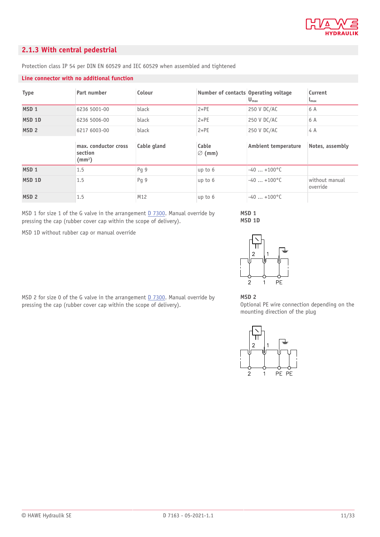

#### <span id="page-10-0"></span>**2.1.3 With central pedestrial**

| <b>Type</b>       | Part number                                           | Colour      | Number of contacts Operating voltage | $U_{\text{max}}$           | Current<br>$\mathbf{L}_{\text{max}}$ |
|-------------------|-------------------------------------------------------|-------------|--------------------------------------|----------------------------|--------------------------------------|
| MSD <sub>1</sub>  | 6236 5001-00                                          | black       | $2+PE$                               | 250 V DC/AC                | 6 A                                  |
| MSD <sub>1D</sub> | 6236 5006-00                                          | black       | $2+PE$                               | 250 V DC/AC                | 6 A                                  |
| MSD <sub>2</sub>  | 6217 6003-00                                          | black       | $2+PE$                               | 250 V DC/AC                | 4 A                                  |
|                   |                                                       |             |                                      |                            |                                      |
|                   | max. conductor cross<br>section<br>(mm <sup>2</sup> ) | Cable gland | Cable<br>$\varnothing$ (mm)          | <b>Ambient temperature</b> | Notes, assembly                      |
| MSD <sub>1</sub>  | 1.5                                                   | Pg 9        | up to 6                              | $-40$ $+100^{\circ}$ C     |                                      |
| MSD <sub>1D</sub> | 1.5                                                   | Pg 9        | up to 6                              | $-40$ $+100^{\circ}$ C     | without manual<br>override           |

Protection class IP 54 per DIN EN 60529 and IEC 60529 when assembled and tightened

#### **Line connector with no additional function**

MSD 1 for size 1 of the G valve in the arrangement [D 7300.](http://downloads.hawe.com/7/3/D7300-en.pdf) Manual override by pressing the cap (rubber cover cap within the scope of delivery).

MSD 1D without rubber cap or manual override



 $\mathbf{1}$ 

**MSD 1 MSD 1D**

MSD 2 for size 0 of the G valve in the arrangement [D 7300.](http://downloads.hawe.com/7/3/D7300-en.pdf) Manual override by pressing the cap (rubber cover cap within the scope of delivery).

#### **MSD 2**

 $\overline{2}$ 

Optional PE wire connection depending on the mounting direction of the plug

 $\overline{PF}$ 

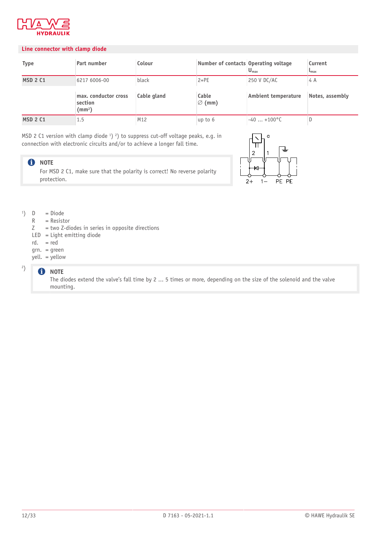

#### **Line connector with clamp diode**

| <b>Type</b>     | Part number                                     | Colour      | Number of contacts Operating voltage | $U_{\text{max}}$           | Current<br>$L_{\rm max}$ |
|-----------------|-------------------------------------------------|-------------|--------------------------------------|----------------------------|--------------------------|
| <b>MSD 2 C1</b> | 6217 6006-00                                    | black       | $2+PE$                               | 250 V DC/AC                | 4 A                      |
|                 | max. conductor cross<br>section<br>$\text{m}^2$ | Cable gland | Cable<br>$\varnothing$ (mm)          | <b>Ambient temperature</b> | Notes, assembly          |
| <b>MSD 2 C1</b> | 1.5                                             | M12         | up to $6$                            | $-40+100^{\circ}$ C        |                          |

MSD 2 C1 version with clamp diode  $^1$ )  $^2$ ) to suppress cut-off voltage peaks, e.g. in connection with electronic circuits and/or to achieve a longer fall time.

#### **O** NOTE

For MSD 2 C1, make sure that the polarity is correct! No reverse polarity protection.



#### 1 ) D = Diode

- R = Resistor
- Z = two Z-diodes in series in opposite directions
- LED = Light emitting diode
- rd. = red
- grn. = green
- yell. = yellow

#### **f** NOTE

2 )

The diodes extend the valve's fall time by 2 ... 5 times or more, depending on the size of the solenoid and the valve mounting.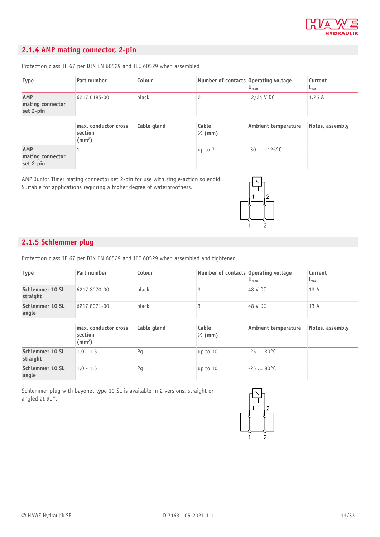

### <span id="page-12-0"></span>**2.1.4 AMP mating connector, 2-pin**

Protection class IP 67 per DIN EN 60529 and IEC 60529 when assembled

| <b>Type</b>                          | Part number                                           | Colour      | Number of contacts Operating voltage | $U_{\text{max}}$           | Current<br>$L_{\text{max}}$ |
|--------------------------------------|-------------------------------------------------------|-------------|--------------------------------------|----------------------------|-----------------------------|
| AMP<br>mating connector<br>set 2-pin | 6217 0185-00                                          | black       |                                      | 12/24 V DC                 | 1.26A                       |
|                                      | max. conductor cross<br>section<br>(mm <sup>2</sup> ) | Cable gland | Cable<br>$\varnothing$ (mm)          | <b>Ambient temperature</b> | Notes, assembly             |
| AMP<br>mating connector              |                                                       | --          | up to 7                              | $-30$ $+125^{\circ}$ C     |                             |

AMP Junior Timer mating connector set 2-pin for use with single-action solenoid. Suitable for applications requiring a higher degree of waterproofness.



#### <span id="page-12-1"></span>**2.1.5 Schlemmer plug**

Protection class IP 67 per DIN EN 60529 and IEC 60529 when assembled and tightened

| <b>Type</b>                 | Part number                                           | Colour      | Number of contacts Operating voltage | $U_{\text{max}}$           | Current<br>$L_{\text{max}}$ |
|-----------------------------|-------------------------------------------------------|-------------|--------------------------------------|----------------------------|-----------------------------|
| Schlemmer 10 SL<br>straight | 6217 8070-00                                          | black       |                                      | 48 V DC                    | 13 A                        |
| Schlemmer 10 SL<br>angle    | 6217 8071-00                                          | black       |                                      | 48 V DC                    | 13A                         |
|                             | max. conductor cross<br>section<br>(mm <sup>2</sup> ) | Cable gland | Cable<br>$\varnothing$ (mm)          | <b>Ambient temperature</b> | Notes, assembly             |
| Schlemmer 10 SL<br>straight | $1.0 - 1.5$                                           | Pq 11       | up to 10                             | $-2580^{\circ}$ C          |                             |
| Schlemmer 10 SL<br>angle    | $1.0 - 1.5$                                           | Pq 11       | up to 10                             | $-2580^{\circ}$ C          |                             |

Schlemmer plug with bayonet type 10 SL is available in 2 versions, straight or angled at 90°.

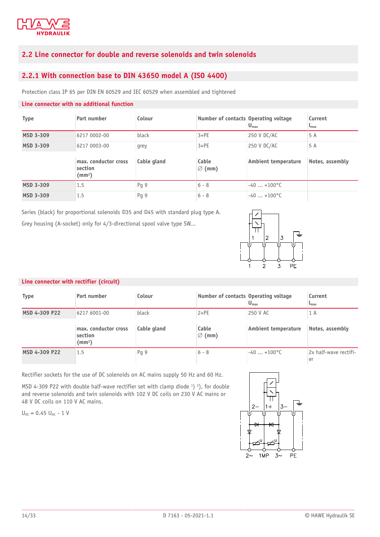

#### <span id="page-13-0"></span>**2.2 Line connector for double and reverse solenoids and twin solenoids**

### <span id="page-13-1"></span>**2.2.1 With connection base to DIN 43650 model A (ISO 4400)**

Protection class IP 65 per DIN EN 60529 and IEC 60529 when assembled and tightened

#### **Line connector with no additional function**

| <b>Type</b>      | Part number                     | Colour      | Number of contacts Operating voltage | $U_{\text{max}}$       | Current<br>$\mathsf{L}_{\text{max}}$ |
|------------------|---------------------------------|-------------|--------------------------------------|------------------------|--------------------------------------|
| <b>MSD 3-309</b> | 6217 0002-00                    | black       | $3+PE$                               | 250 V DC/AC            | 5 A                                  |
| <b>MSD 3-309</b> | 6217 0003-00                    | grey        | $3+PE$                               | 250 V DC/AC            | 5 A                                  |
|                  | max. conductor cross<br>section | Cable gland | Cable<br>$\varnothing$ (mm)          | Ambient temperature    | Notes, assembly                      |
|                  | $\text{(mm)}$                   |             |                                      |                        |                                      |
| <b>MSD 3-309</b> | 1.5                             | Pq 9        | $6 - 8$                              | $-40$ $+100^{\circ}$ C |                                      |

Series (black) for proportional solenoids  $\text{\texttt{435}}$  and  $\text{\texttt{445}}$  with standard plug type A. Grey housing (A-socket) only for 4/3-directional spool valve type SW...



#### **Line connector with rectifier (circuit)**

| <b>Type</b>   | Part number                                     | Colour      | Number of contacts Operating voltage | $U_{\text{max}}$    | Current<br>$L_{\rm max}$    |
|---------------|-------------------------------------------------|-------------|--------------------------------------|---------------------|-----------------------------|
| MSD 4-309 P22 | 6217 6001-00                                    | black       | $2+PE$                               | 250 V AC            | 1 A                         |
|               | max. conductor cross<br>section<br>$\text{m}^2$ | Cable gland | Cable<br>$\varnothing$ (mm)          | Ambient temperature | Notes, assembly             |
| MSD 4-309 P22 | 1.5                                             | Pg 9        | $6 - 8$                              | $-40+100^{\circ}$ C | 2x half-wave rectifi-<br>er |

Rectifier sockets for the use of DC solenoids on AC mains supply 50 Hz and 60 Hz.

MSD 4-309 P22 with double half-wave rectifier set with clamp diode  $\frac{1}{2}$ ), for double and reverse solenoids and twin solenoids with 102 V DC coils on 230 V AC mains or 48 V DC coils on 110 V AC mains.

 $U_{DC} = 0.45 U_{AC} - 1 V$ 

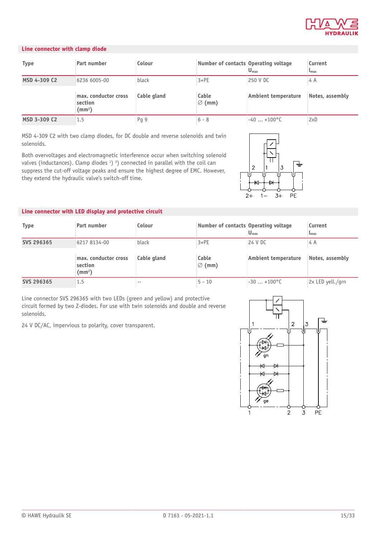

#### **Line connector with clamp diode**

| <b>Type</b>  | Part number                                     | Colour      | Number of contacts Operating voltage | $U_{\text{max}}$           | Current<br>$L_{\rm max}$ |
|--------------|-------------------------------------------------|-------------|--------------------------------------|----------------------------|--------------------------|
| MSD 4-309 C2 | 6236 6005-00                                    | black       | $3+PE$                               | 250 V DC                   | 4 A                      |
|              | max. conductor cross<br>section<br>$\text{m}^2$ | Cable gland | Cable<br>$\varnothing$ (mm)          | <b>Ambient temperature</b> | Notes, assembly          |
| MSD 3-309 C2 | 1.5                                             | Pq9         | $6 - 8$                              | $-40$ $+100^{\circ}$ C     | 2xD                      |

MSD 4-309 C2 with two clamp diodes, for DC double and reverse solenoids and twin solenoids.

Both overvoltages and electromagnetic interference occur when switching solenoid valves (inductances). Clamp diodes <sup>1</sup>) <sup>3</sup>) connected in parallel with the coil can suppress the cut-off voltage peaks and ensure the highest degree of EMC. However, they extend the hydraulic valve's switch-off time.



#### **Line connector with LED display and protective circuit**

| <b>Type</b> | Part number                                     | Colour      | Number of contacts Operating voltage | $U_{\text{max}}$    | Current<br>$L_{\rm max}$ |
|-------------|-------------------------------------------------|-------------|--------------------------------------|---------------------|--------------------------|
| SVS 296365  | 6217 8134-00                                    | black       | $3+PE$                               | 24 V DC             | 4 A                      |
|             | max. conductor cross<br>section<br>$\text{m}^2$ | Cable gland | Cable<br>$\varnothing$ (mm)          | Ambient temperature | Notes, assembly          |
| SVS 296365  | 1.5                                             |             | $5 - 10$                             | $-30+100^{\circ}$ C | 2x LED yell./grn         |

Line connector SVS 296365 with two LEDs (green and yellow) and protective circuit formed by two Z-diodes. For use with twin solenoids and double and reverse solenoids.

24 V DC/AC, impervious to polarity, cover transparent.

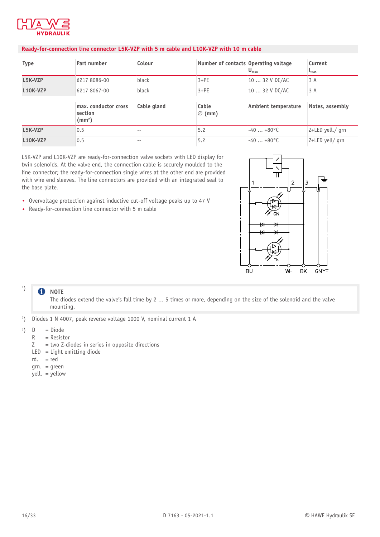

#### **Ready-for-connection line connector L5K-VZP with 5 m cable and L10K-VZP with 10 m cable**

| <b>Type</b> | Part number                                     | Colour      | Number of contacts Operating voltage | $U_{\text{max}}$    | Current<br>$L_{\text{max}}$ |
|-------------|-------------------------------------------------|-------------|--------------------------------------|---------------------|-----------------------------|
| L5K-VZP     | 6217 8086-00                                    | black       | $3+PE$                               | 10  32 V DC/AC      | 3 A                         |
| L10K-VZP    | 6217 8067-00                                    | black       | $3+PE$                               | 10  32 V DC/AC      | 3A                          |
|             | max. conductor cross<br>section<br>$\text{m}^2$ | Cable gland | Cable<br>$\varnothing$ (mm)          | Ambient temperature | Notes, assembly             |
| L5K-VZP     | 0.5                                             | $- -$       | 5.2                                  | $-40+80$ °C         | Z+LED yell./ grn            |
| L10K-VZP    | 0.5                                             | $- -$       | 5.2                                  | $-40+80^{\circ}$ C  | Z+LED yell/ grn             |

L5K-VZP and L10K-VZP are ready-for-connection valve sockets with LED display for twin solenoids. At the valve end, the connection cable is securely moulded to the line connector; the ready-for-connection single wires at the other end are provided with wire end sleeves. The line connectors are provided with an integrated seal to the base plate.

- Overvoltage protection against inductive cut-off voltage peaks up to 47 V
- Ready-for-connection line connector with 5 m cable



#### 1 ) **f** NOTE

The diodes extend the valve's fall time by 2 ... 5 times or more, depending on the size of the solenoid and the valve mounting.

- 2 ) Diodes 1 N 4007, peak reverse voltage 1000 V, nominal current 1 A
- 3  $\mathsf D$ = Diode
	- R = Resistor
	- Z = two Z-diodes in series in opposite directions
	- LED = Light emitting diode
	- rd. = red
	- grn. = green
	- yell. = yellow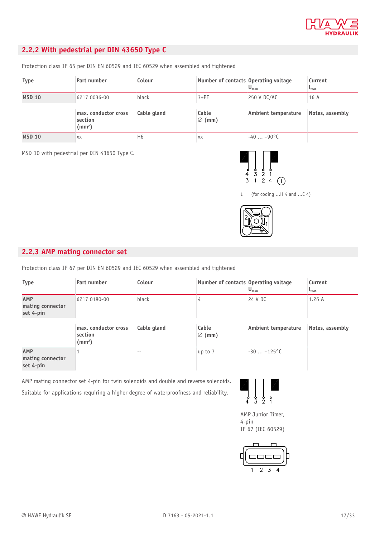

### <span id="page-16-0"></span>**2.2.2 With pedestrial per DIN 43650 Type C**

Protection class IP 65 per DIN EN 60529 and IEC 60529 when assembled and tightened

| <b>Type</b>   | Part number                                           | Colour         | Number of contacts Operating voltage | $U_{\text{max}}$    | Current<br>$L_{\rm max}$ |
|---------------|-------------------------------------------------------|----------------|--------------------------------------|---------------------|--------------------------|
| <b>MSD 10</b> | 6217 0036-00                                          | black          | $3+PE$                               | 250 V DC/AC         | 16 A                     |
|               | max. conductor cross<br>section<br>(mm <sup>2</sup> ) | Cable gland    | Cable<br>$\varnothing$ (mm)          | Ambient temperature | Notes, assembly          |
| <b>MSD 10</b> | XX                                                    | H <sub>6</sub> | XX                                   | $-40+90$ °C         |                          |

MSD 10 with pedestrial per DIN 43650 Type C.



1 (for coding ...H 4 and ...C 4)



#### <span id="page-16-1"></span>**2.2.3 AMP mating connector set**

Protection class IP 67 per DIN EN 60529 and IEC 60529 when assembled and tightened

| <b>Type</b>                          | Part number                                           | Colour      | Number of contacts Operating voltage | $U_{\text{max}}$           | Current<br>$\mathsf{L}_{\text{max}}$ |
|--------------------------------------|-------------------------------------------------------|-------------|--------------------------------------|----------------------------|--------------------------------------|
| AMP<br>mating connector<br>set 4-pin | 6217 0180-00                                          | black       |                                      | 24 V DC                    | 1.26A                                |
|                                      | max. conductor cross<br>section<br>(mm <sup>2</sup> ) | Cable gland | Cable<br>$\varnothing$ (mm)          | <b>Ambient temperature</b> | Notes, assembly                      |
| AMP<br>mating connector<br>set 4-pin |                                                       | $- -$       | up to 7                              | $-30$ $+125^{\circ}$ C     |                                      |

AMP mating connector set 4-pin for twin solenoids and double and reverse solenoids.

Suitable for applications requiring a higher degree of waterproofness and reliability.



AMP Junior Timer, 4-pin IP 67 (IEC 60529)

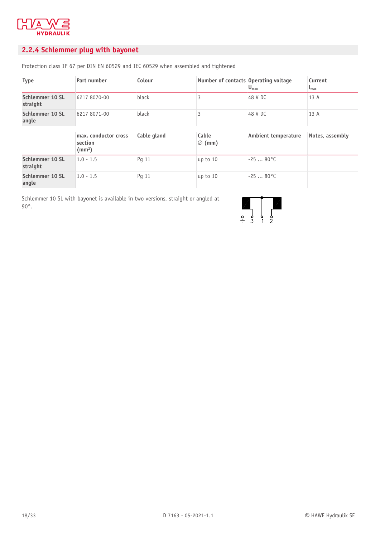

### <span id="page-17-0"></span>**2.2.4 Schlemmer plug with bayonet**

Protection class IP 67 per DIN EN 60529 and IEC 60529 when assembled and tightened

| <b>Type</b>                 | Part number                                           | Colour      | Number of contacts Operating voltage | $U_{\text{max}}$           | Current<br>$\mathbf{L}_{\text{max}}$ |
|-----------------------------|-------------------------------------------------------|-------------|--------------------------------------|----------------------------|--------------------------------------|
| Schlemmer 10 SL<br>straight | 6217 8070-00                                          | black       | ς                                    | 48 V DC                    | 13 A                                 |
| Schlemmer 10 SL<br>angle    | 6217 8071-00                                          | black       | 3                                    | 48 V DC                    | 13A                                  |
|                             | max. conductor cross<br>section<br>(mm <sup>2</sup> ) | Cable gland | Cable<br>$\varnothing$ (mm)          | <b>Ambient temperature</b> | Notes, assembly                      |
| Schlemmer 10 SL<br>straight | $1.0 - 1.5$                                           | Pq 11       | up to 10                             | $-2580^{\circ}$ C          |                                      |
| Schlemmer 10 SL<br>angle    | $1.0 - 1.5$                                           | Pq 11       | up to 10                             | $-2580^{\circ}$ C          |                                      |

Schlemmer 10 SL with bayonet is available in two versions, straight or angled at 90°.

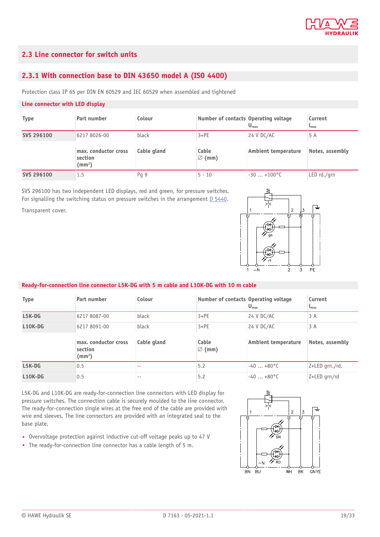

#### <span id="page-18-0"></span>**2.3 Line connector for switch units**

#### <span id="page-18-1"></span>**2.3.1 With connection base to DIN 43650 model A (ISO 4400)**

Protection class IP 65 per DIN EN 60529 and IEC 60529 when assembled and tightened

#### **Line connector with LED display**

| <b>Type</b> | Part number                                           | Colour      | Number of contacts Operating voltage | $U_{\text{max}}$           | Current<br>$L_{\rm max}$ |
|-------------|-------------------------------------------------------|-------------|--------------------------------------|----------------------------|--------------------------|
| SVS 296100  | 6217 8026-00                                          | black       | $3+PE$                               | 24 V DC/AC                 | 5 A                      |
|             | max. conductor cross<br>section<br>(mm <sup>2</sup> ) | Cable gland | Cable<br>$\varnothing$ (mm)          | <b>Ambient temperature</b> | Notes, assembly          |
| SVS 296100  | 1.5                                                   | Pg 9        | $5 - 10$                             | $-30$ $+100^{\circ}$ C     | LED rd./arn              |

SVS 296100 has two independent LED displays, red and green, for pressure switches. For signalling the switching status on pressure switches in the arrangement [D 5440.](http://downloads.hawe.com/5/4/D5440-en.pdf)

Transparent cover.



#### **Ready-for-connection line connector L5K-DG with 5 m cable and L10K-DG with 10 m cable**

| <b>Type</b> | Part number                                           | Colour      | Number of contacts Operating voltage | $U_{\text{max}}$           | Current<br>$L_{\text{max}}$ |
|-------------|-------------------------------------------------------|-------------|--------------------------------------|----------------------------|-----------------------------|
| $L5K-DG$    | 6217 8087-00                                          | black       | $3+PE$                               | 24 V DC/AC                 | 3A                          |
| $L10K-DG$   | 6217 8091-00                                          | black       | $3+PE$                               | 24 V DC/AC                 | 3A                          |
|             | max. conductor cross<br>section<br>(mm <sup>2</sup> ) | Cable gland | Cable<br>$\varnothing$ (mm)          | <b>Ambient temperature</b> | Notes, assembly             |
| L5K-DG      | 0.5                                                   | --          | 5.2                                  | $-40+80$ °C                | Z+LED grn./rd.              |
|             |                                                       |             |                                      |                            |                             |

L5K-DG and L10K-DG are ready-for-connection line connectors with LED display for pressure switches. The connection cable is securely moulded to the line connector. The ready-for-connection single wires at the free end of the cable are provided with wire end sleeves. The line connectors are provided with an integrated seal to the base plate.

- Overvoltage protection against inductive cut-off voltage peaks up to 47 V
- The ready-for-connection line connector has a cable length of 5 m.

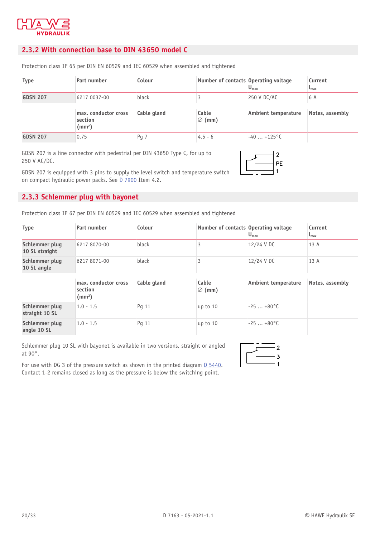

#### <span id="page-19-0"></span>**2.3.2 With connection base to DIN 43650 model C**

Protection class IP 65 per DIN EN 60529 and IEC 60529 when assembled and tightened

| <b>Type</b>     | Part number                                           | Colour      | Number of contacts Operating voltage | $U_{\text{max}}$           | Current<br>$L_{\rm max}$ |
|-----------------|-------------------------------------------------------|-------------|--------------------------------------|----------------------------|--------------------------|
| <b>GDSN 207</b> | 6217 0037-00                                          | black       |                                      | 250 V DC/AC                | 6 A                      |
|                 | max. conductor cross<br>section<br>(mm <sup>2</sup> ) | Cable gland | Cable<br>$\varnothing$ (mm)          | <b>Ambient temperature</b> | Notes, assembly          |
| <b>GDSN 207</b> | 0.75                                                  | Pg 7        | $4.5 - 6$                            | $-40$ $+125^{\circ}$ C     |                          |

GDSN 207 is a line connector with pedestrial per DIN 43650 Type C, for up to 250 V AC/DC.

GDSN 207 is equipped with 3 pins to supply the level switch and temperature switch on compact hydraulic power packs. See [D 7900](http://downloads.hawe.com/7/9/D7900-en.pdf) Item 4.2.



#### <span id="page-19-1"></span>**2.3.3 Schlemmer plug with bayonet**

Protection class IP 67 per DIN EN 60529 and IEC 60529 when assembled and tightened

| <b>Type</b>                      | Part number  | Colour | Number of contacts Operating voltage | $U$ <sub>max</sub> | Current<br>$L_{\rm max}$ |
|----------------------------------|--------------|--------|--------------------------------------|--------------------|--------------------------|
| Schlemmer plug<br>10 SL straight | 6217 8070-00 | black  |                                      | 12/24 V DC         | 13 A                     |
| Schlemmer plug<br>10 SL angle    | 6217 8071-00 | black  |                                      | 12/24 V DC         | 13 A                     |

|                                  | max. conductor cross<br>section<br>$\text{m}^2$ | Cable gland | Cable<br>$\varnothing$ (mm) | Ambient temperature | Notes, assembly |
|----------------------------------|-------------------------------------------------|-------------|-----------------------------|---------------------|-----------------|
| Schlemmer plug<br>straight 10 SL | $1.0 - 1.5$                                     | Pq 11       | $up$ to 10                  | $-25+80^{\circ}$ C  |                 |
| Schlemmer plug<br>angle 10 SL    | $1.0 - 1.5$                                     | Pg 11       | $up$ to 10                  | $-25+80^{\circ}$ C  |                 |

Schlemmer plug 10 SL with bayonet is available in two versions, straight or angled at 90°.



For use with DG 3 of the pressure switch as shown in the printed diagram [D 5440](http://downloads.hawe.com/5/4/D5440-en.pdf). Contact 1-2 remains closed as long as the pressure is below the switching point.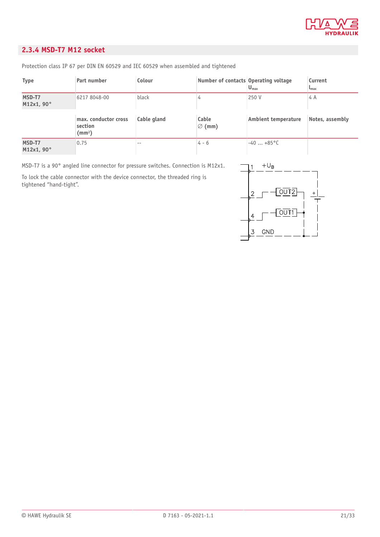

#### <span id="page-20-0"></span>**2.3.4 MSD-T7 M12 socket**

Protection class IP 67 per DIN EN 60529 and IEC 60529 when assembled and tightened

| <b>Type</b>          | Part number                                     | Colour      | Number of contacts Operating voltage | $U_{\text{max}}$           | Current<br>$L_{\text{max}}$ |
|----------------------|-------------------------------------------------|-------------|--------------------------------------|----------------------------|-----------------------------|
| MSD-T7<br>M12x1, 90° | 6217 8048-00                                    | black       |                                      | 250 V                      | 4 A                         |
|                      | max. conductor cross<br>section<br>$\text{m}^2$ | Cable gland | Cable<br>$\varnothing$ (mm)          | <b>Ambient temperature</b> | Notes, assembly             |
| MSD-T7<br>M12x1, 90° | 0.75                                            | $- -$       | $4 - 6$                              | $-40+85$ °C                |                             |

MSD-T7 is a 90° angled line connector for pressure switches. Connection is M12x1.

To lock the cable connector with the device connector, the threaded ring is tightened "hand-tight".

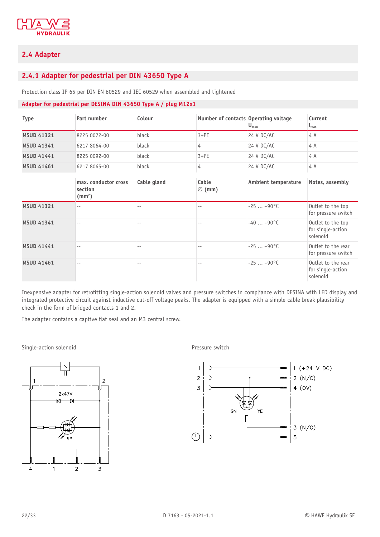

#### <span id="page-21-0"></span>**2.4 Adapter**

#### <span id="page-21-1"></span>**2.4.1 Adapter for pedestrial per DIN 43650 Type A**

Protection class IP 65 per DIN EN 60529 and IEC 60529 when assembled and tightened

#### **Adapter for pedestrial per DESINA DIN 43650 Type A / plug M12x1**

| <b>Type</b>       | Part number                                           | Colour            | Number of contacts Operating voltage | $Umax$                | Current<br>$\mathsf{L}_{\text{max}}$                |
|-------------------|-------------------------------------------------------|-------------------|--------------------------------------|-----------------------|-----------------------------------------------------|
| <b>MSUD 41321</b> | 8225 0072-00                                          | black             | $3+PE$                               | 24 V DC/AC            | 4 A                                                 |
| <b>MSUD 41341</b> | 6217 8064-00                                          | black             | 4                                    | 24 V DC/AC            | 4 A                                                 |
| <b>MSUD 41441</b> | 8225 0092-00                                          | black             | $3+PE$                               | 24 V DC/AC            | 4 A                                                 |
| <b>MSUD 41461</b> | 6217 8065-00                                          | black             | 4                                    | 24 V DC/AC            | 4 A                                                 |
|                   | max. conductor cross<br>section<br>(mm <sup>2</sup> ) | Cable gland       | Cable<br>$\varnothing$ (mm)          | Ambient temperature   | Notes, assembly                                     |
| <b>MSUD 41321</b> | $-$                                                   | $\qquad \qquad -$ | $- -$                                | $-25$ $+90^{\circ}$ C | Outlet to the top<br>for pressure switch            |
| <b>MSUD 41341</b> |                                                       |                   |                                      | $-40+90$ °C           | Outlet to the top<br>for single-action<br>solenoid  |
| <b>MSUD 41441</b> |                                                       |                   |                                      | $-25$ $+90^{\circ}$ C | Outlet to the rear<br>for pressure switch           |
| <b>MSUD 41461</b> | $- -$                                                 | --                |                                      | $-25$ $+90^{\circ}$ C | Outlet to the rear<br>for single-action<br>solenoid |

Inexpensive adapter for retrofitting single-action solenoid valves and pressure switches in compliance with DESINA with LED display and integrated protective circuit against inductive cut-off voltage peaks. The adapter is equipped with a simple cable break plausibility check in the form of bridged contacts 1 and 2.

The adapter contains a captive flat seal and an M3 central screw.

Single-action solenoid **Pressure switch** 



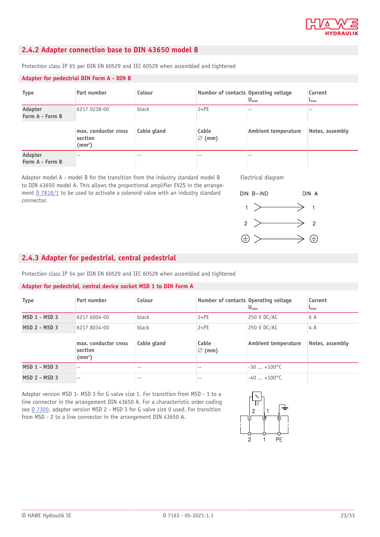

#### <span id="page-22-0"></span>**2.4.2 Adapter connection base to DIN 43650 model B**

Protection class IP 65 per DIN EN 60529 and IEC 60529 when assembled and tightened

#### **Adapter for pedestrial DIN Form A - DIN B**

| <b>Type</b>                | Part number                                      | Colour      | Number of contacts Operating voltage | $U_{\text{max}}$           | Current<br>$L_{\text{max}}$ |
|----------------------------|--------------------------------------------------|-------------|--------------------------------------|----------------------------|-----------------------------|
| Adapter<br>Form A - Form B | 6217 0238-00                                     | black       | $2+PE$                               |                            |                             |
|                            | max. conductor cross<br>section<br>$\text{(mm)}$ | Cable gland | Cable<br>$\varnothing$ (mm)          | <b>Ambient temperature</b> | Notes, assembly             |
| Adapter<br>Form A - Form B | $- -$                                            | $- -$       | $- -$                                |                            |                             |

Adapter model A - model B for the transition from the industry standard model B to DIN 43650 model A. This allows the proportional amplifier EV2S in the arrangement [D 7818/1](http://downloads.hawe.com/7/8/D78181-en.pdf) to be used to activate a solenoid valve with an industry standard connector.





#### <span id="page-22-1"></span>**2.4.3 Adapter for pedestrial, central pedestrial**

Protection class IP 54 per DIN EN 60529 and IEC 60529 when assembled and tightened

#### **Adapter for pedestrial, central device socket MSD 1 to DIN Form A**

| <b>Type</b>          | Part number                   | Colour      | Number of contacts Operating voltage | $U_{\text{max}}$           | Current<br>$\mathsf{L}_{\text{max}}$ |
|----------------------|-------------------------------|-------------|--------------------------------------|----------------------------|--------------------------------------|
| <b>MSD 1 - MSD 3</b> | 6217 6004-00                  | black       | $2+PE$                               | 250 V DC/AC                | 6 A                                  |
| $MSD 2 - MSD 3$      | 6217 8034-00                  | black       | $2+PE$                               | 250 V DC/AC                | 4 A                                  |
|                      | max. conductor cross          | Cable gland | Cable                                | <b>Ambient temperature</b> | Notes, assembly                      |
|                      | section<br>(mm <sup>2</sup> ) |             | $\varnothing$ (mm)                   |                            |                                      |
| <b>MSD 1 - MSD 3</b> | $- -$                         | $- -$       | $- -$                                | $-30+100^{\circ}$ C        |                                      |

Adapter version MSD 1- MSD 3 for G valve size 1. For transition from MSD - 1 to a line connector in the arrangement DIN 43650 A. For a characteristic order coding see [D 7300](http://downloads.hawe.com/7/3/D7300-en.pdf), adapter version MSD 2 - MSD 3 for G valve size 0 used. For transition from MSD - 2 to a line connector in the arrangement DIN 43650 A.

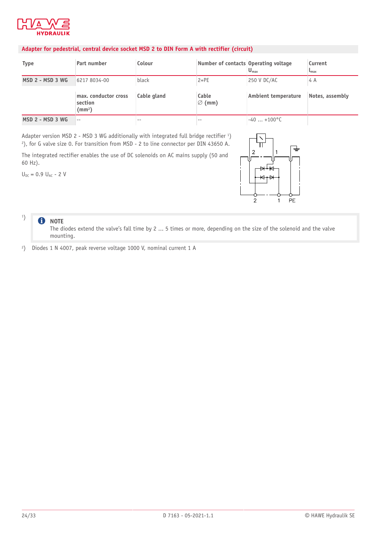

#### **Adapter for pedestrial, central device socket MSD 2 to DIN Form A with rectifier (circuit)**

| <b>Type</b>      | Part number                                           | Colour      | Number of contacts Operating voltage | $U_{\text{max}}$    | Current<br>$L_{\rm max}$ |
|------------------|-------------------------------------------------------|-------------|--------------------------------------|---------------------|--------------------------|
| MSD 2 - MSD 3 WG | 6217 8034-00                                          | black       | $2+PE$                               | 250 V DC/AC         | 4 A                      |
|                  | max. conductor cross<br>section<br>(mm <sup>2</sup> ) | Cable gland | Cable<br>$\varnothing$ (mm)          | Ambient temperature | Notes, assembly          |
| MSD 2 - MSD 3 WG | $- -$                                                 |             |                                      | $-40+100^{\circ}$ C |                          |

Adapter version MSD 2 - MSD 3 WG additionally with integrated full bridge rectifier 1 ) 2 ), for G valve size 0. For transition from MSD - 2 to line connector per DIN 43650 A.

The integrated rectifier enables the use of DC solenoids on AC mains supply (50 and 60 Hz).

 $U_{DC} = 0.9 U_{AC} - 2 V$ 



#### 6 **NOTE**

1 )

The diodes extend the valve's fall time by 2 ... 5 times or more, depending on the size of the solenoid and the valve mounting.

2 ) Diodes 1 N 4007, peak reverse voltage 1000 V, nominal current 1 A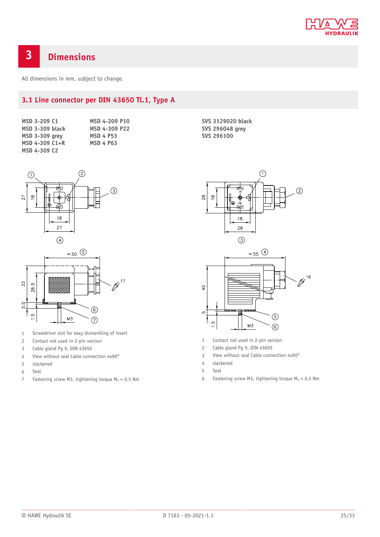

## <span id="page-24-0"></span>**3 Dimensions**

<span id="page-24-1"></span>All dimensions in mm, subject to change.

### **3.1 Line connector per DIN 43650 Tl.1, Type A**

| MSD 3-209 C1           |  |
|------------------------|--|
| <b>MSD 3-309 black</b> |  |
| <b>MSD 3-309 grey</b>  |  |
| MSD 4-309 C1+R         |  |
| MSD 4-309 C2           |  |

**MSD 4-209 P10 MSD 4-309 P22 MSD 4 P53 MSD 4 P63**

**SVS 3129020 black SVS 296048 grey SVS 296100**





- 1 Screwdriver slot for easy dismantling of insert
- 2 Contact not used in 2-pin version
- 3 Cable gland Pg 9, DIN 43650
- 4 View without seal Cable connection 4x90°
- 5 slackened
- 6 Seal
- 7 Fastening screw M3, tightening torque  $M_A = 0.5$  Nm



- 1 Contact not used in 2-pin version
- 2 Cable gland Pg 9, DIN 43650
- 3 View without seal Cable connection 4x90°
- 4 slackened
- 5 Seal
- 6 Fastening screw M3, tightening torque  $M_A = 0.5$  Nm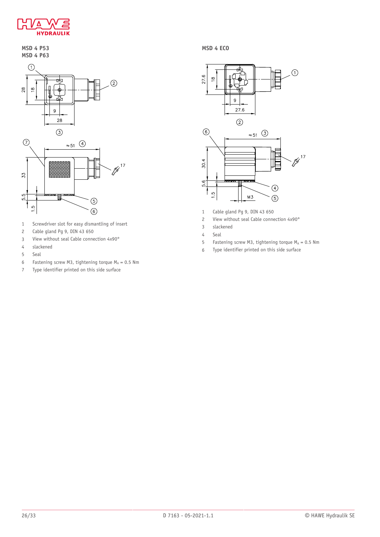

#### **MSD 4 P53 MSD 4 P63**



- 1 Screwdriver slot for easy dismantling of insert
- 2 Cable gland Pg 9, DIN 43 650
- 3 View without seal Cable connection 4x90°
- 4 slackened
- 5 Seal
- 6 Fastening screw M3, tightening torque  $M_A = 0.5$  Nm
- 7 Type identifier printed on this side surface

**MSD 4 ECO**



- 1 Cable gland Pg 9, DIN 43 650
- 2 View without seal Cable connection 4x90°
- 3 slackened
- 4 Seal
- 5 Fastening screw M3, tightening torque  $M_A = 0.5$  Nm
- 6 Type identifier printed on this side surface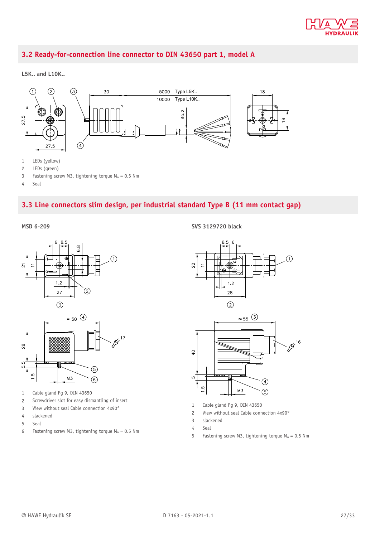

### <span id="page-26-0"></span>**3.2 Ready-for-connection line connector to DIN 43650 part 1, model A**

#### **L5K.. and L10K..**



- 2 LEDs (green)
- 3 Fastening screw M3, tightening torque  $M_A = 0.5$  Nm
- <span id="page-26-1"></span>4 Seal

#### **3.3 Line connectors slim design, per industrial standard Type B (11 mm contact gap)**

**MSD 6-209**



- 1 Cable gland Pg 9, DIN 43650
- 2 Screwdriver slot for easy dismantling of insert
- 3 View without seal Cable connection 4x90°
- 4 slackened
- 5 Seal
- 6 Fastening screw M3, tightening torque  $M_A = 0.5$  Nm

**SVS 3129720 black**



- 1 Cable gland Pg 9, DIN 43650
- 2 View without seal Cable connection 4x90°
- 3 slackened
- 4 Seal
- 5 Fastening screw M3, tightening torque  $M_A = 0.5$  Nm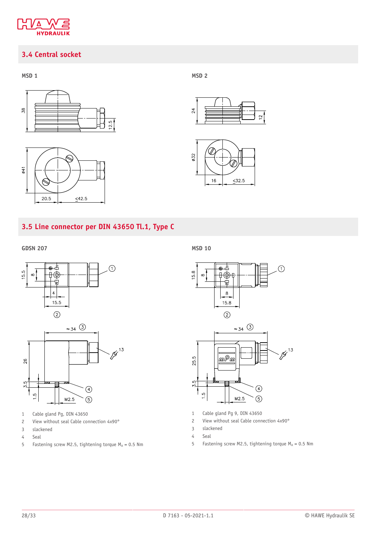

### <span id="page-27-0"></span>**3.4 Central socket**





**MSD 1 MSD 2**





### <span id="page-27-1"></span>**3.5 Line connector per DIN 43650 Tl.1, Type C**



- 1 Cable gland Pg, DIN 43650
- 2 View without seal Cable connection 4x90°
- 3 slackened

**GDSN 207**

- 4 Seal
- 5 Fastening screw M2.5, tightening torque  $M_A = 0.5$  Nm

**MSD 10**





- 1 Cable gland Pg 9, DIN 43650
- 2 View without seal Cable connection 4x90°
- 3 slackened
- 4 Seal
- 5 Fastening screw M2.5, tightening torque  $M_A = 0.5$  Nm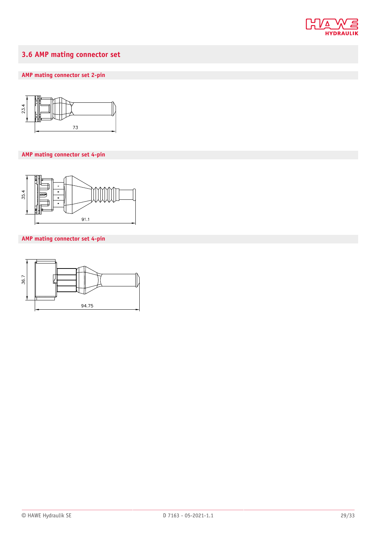

### <span id="page-28-0"></span>**3.6 AMP mating connector set**

### **AMP mating connector set 2-pin**



#### **AMP mating connector set 4-pin**



#### **AMP mating connector set 4-pin**

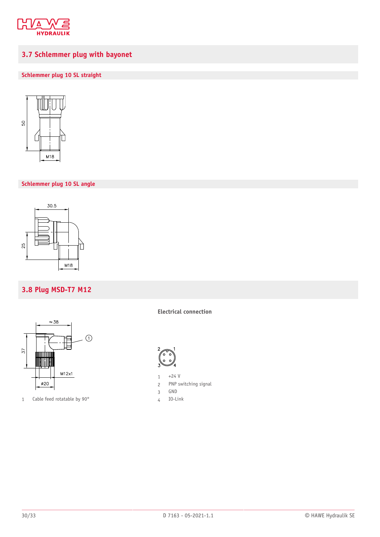

### <span id="page-29-0"></span>**3.7 Schlemmer plug with bayonet**

#### **Schlemmer plug 10 SL straight**



#### **Schlemmer plug 10 SL angle**



### <span id="page-29-1"></span>**3.8 Plug MSD-T7 M12**



1 Cable feed rotatable by 90°

**Electrical connection**



- $1 +24 V$
- 2 PNP switching signal
- 3 GND
- 4 IO-Link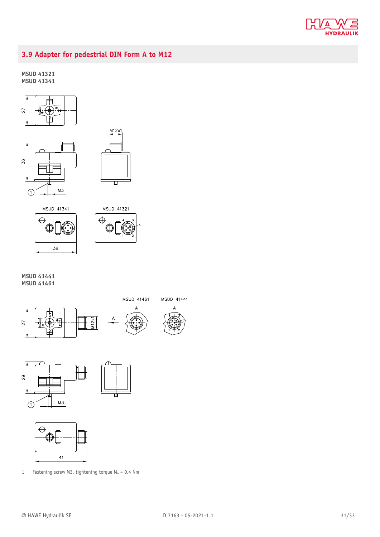

### <span id="page-30-0"></span>**3.9 Adapter for pedestrial DIN Form A to M12**

#### **MSUD 41321 MSUD 41341**











**MSUD 41441 MSUD 41461**

 $\overline{29}$ 







1 Fastening screw M3, tightening torque  $M_A = 0.4$  Nm

MSUD 41441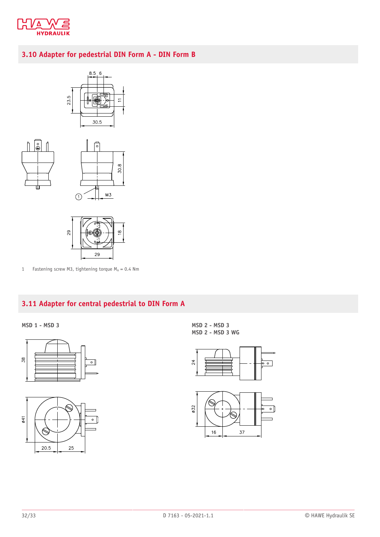

### <span id="page-31-0"></span>**3.10 Adapter for pedestrial DIN Form A - DIN Form B**









1 Fastening screw M3, tightening torque  $M_A = 0.4$  Nm

### <span id="page-31-1"></span>**3.11 Adapter for central pedestrial to DIN Form A**

**MSD 1 - MSD 3 MSD 2 - MSD 3**





**MSD 2 - MSD 3 WG**